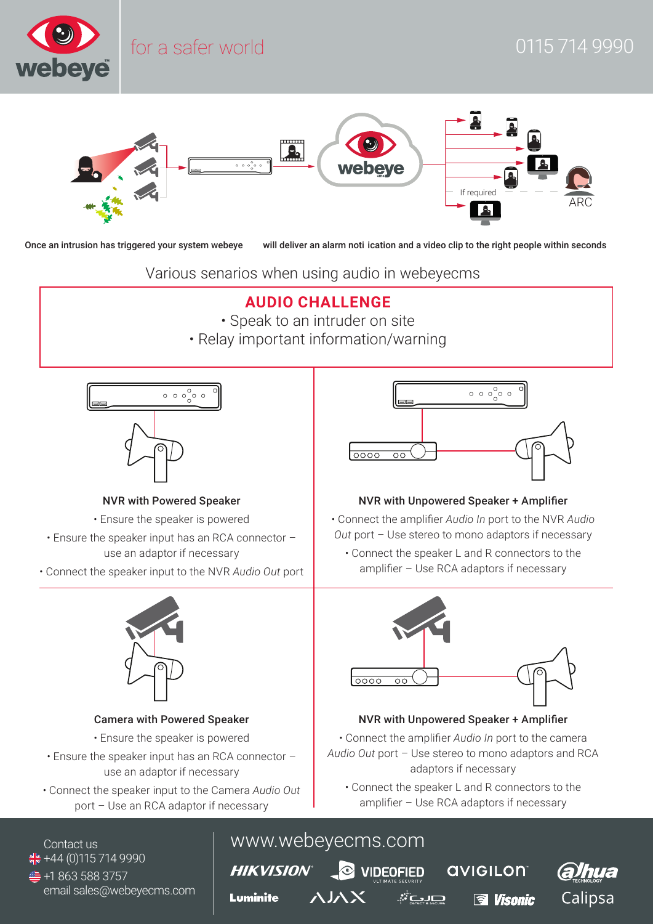

- **AUDIO CHALLENGE**
- Speak to an intruder on site
- Relay important information/warning

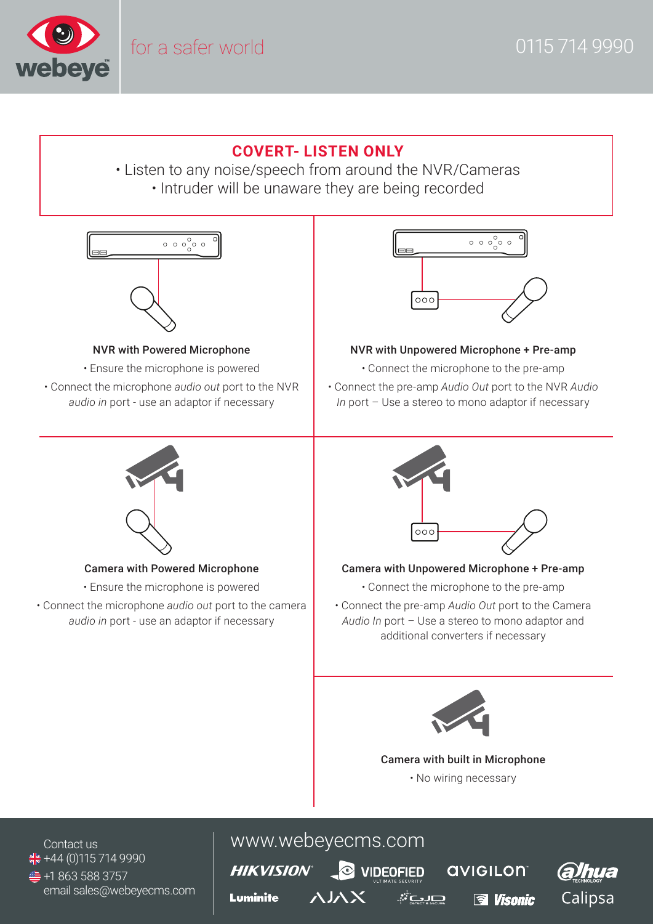

## **COVERT- LISTEN ONLY**

• Listen to any noise/speech from around the NVR/Cameras • Intruder will be unaware they are being recorded

 $\circ \circ \circ \circ \circ$ 

### NVR with Powered Microphone

- Ensure the microphone is powered
- Connect the microphone *audio out* port to the NVR *audio in* port - use an adaptor if necessary



### NVR with Unpowered Microphone + Pre-amp

- Connect the microphone to the pre-amp
- Connect the pre-amp *Audio Out* port to the NVR *Audio In* port – Use a stereo to mono adaptor if necessary



### Camera with Powered Microphone

- Ensure the microphone is powered
- Connect the microphone *audio out* port to the camera *audio in* port - use an adaptor if necessary



### Camera with Unpowered Microphone + Pre-amp

- Connect the microphone to the pre-amp
- Connect the pre-amp *Audio Out* port to the Camera *Audio In* port – Use a stereo to mono adaptor and additional converters if necessary



## Camera with built in Microphone • No wiring necessary

ீவம

 $\frac{1}{25}$  +44 (0)115 714 9990  $±$ **+1 863 588 3757** email sales@webeyecms.com

# Contact us www.webeyecms.com

**HIKVISION®** Luminite

**O** VIDEOFIED